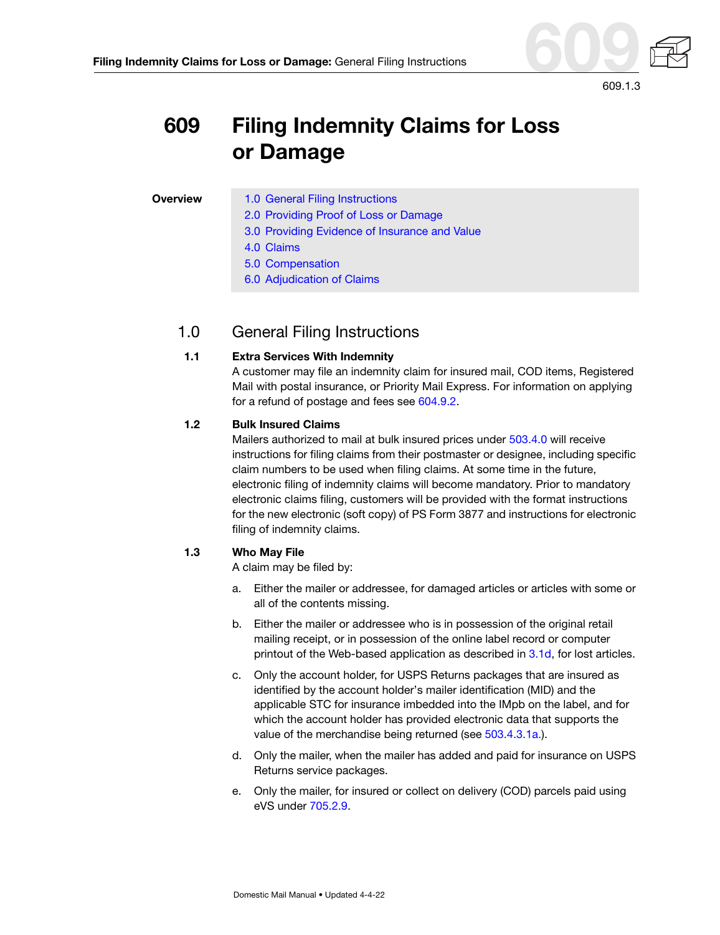

#### **Filing Indemnity Claims for Loss or Damage:** General Filing Instructions

# **609 Filing Indemnity Claims for Loss or Damage**

#### **Overview** [1.0 General Filing Instructions](#page-0-0)

- [2.0 Providing Proof of Loss or Damage](#page-2-0)
- [3.0 Providing Evidence of Insurance and Value](#page-2-1)
- [4.0 Claims](#page-4-0)
- [5.0 Compensation](#page-8-0)
- [6.0 Adjudication of Claims](#page-9-0)

# <span id="page-0-1"></span><span id="page-0-0"></span>1.0 General Filing Instructions

#### **1.1 Extra Services With Indemnity**

A customer may file an indemnity claim for insured mail, COD items, Registered Mail with postal insurance, or Priority Mail Express. For information on applying for a refund of postage and fees see 604.9.2.

#### **1.2 Bulk Insured Claims**

Mailers authorized to mail at bulk insured prices under 503.4.0 will receive instructions for filing claims from their postmaster or designee, including specific claim numbers to be used when filing claims. At some time in the future, electronic filing of indemnity claims will become mandatory. Prior to mandatory electronic claims filing, customers will be provided with the format instructions for the new electronic (soft copy) of PS Form 3877 and instructions for electronic filing of indemnity claims.

#### **1.3 Who May File**

A claim may be filed by:

- a. Either the mailer or addressee, for damaged articles or articles with some or all of the contents missing.
- b. Either the mailer or addressee who is in possession of the original retail mailing receipt, or in possession of the online label record or computer printout of the Web-based application as described in [3.1d](#page-2-2), for lost articles.
- c. Only the account holder, for USPS Returns packages that are insured as identified by the account holder's mailer identification (MID) and the applicable STC for insurance imbedded into the IMpb on the label, and for which the account holder has provided electronic data that supports the value of the merchandise being returned (see 503.4.3.1a.).
- d. Only the mailer, when the mailer has added and paid for insurance on USPS Returns service packages.
- e. Only the mailer, for insured or collect on delivery (COD) parcels paid using eVS under 705.2.9.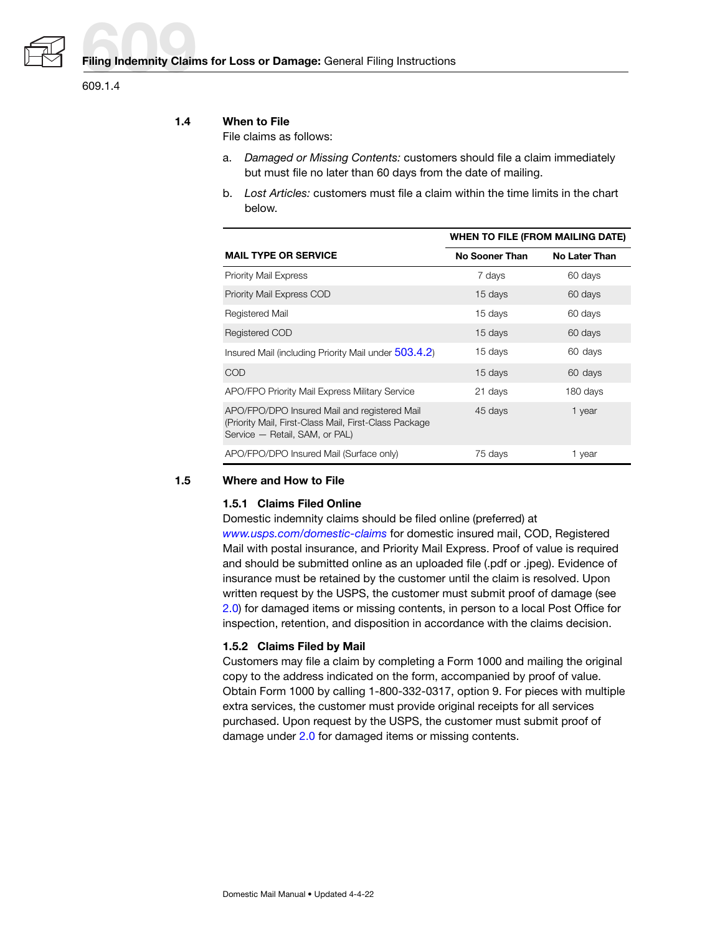

609.1.4

#### **1.4 When to File**

File claims as follows:

- a. Damaged or Missing Contents: customers should file a claim immediately but must file no later than 60 days from the date of mailing.
- b. Lost Articles: customers must file a claim within the time limits in the chart below.

|                                                                                                                                          | <b>WHEN TO FILE (FROM MAILING DATE)</b> |                      |
|------------------------------------------------------------------------------------------------------------------------------------------|-----------------------------------------|----------------------|
| <b>MAIL TYPE OR SERVICE</b>                                                                                                              | No Sooner Than                          | <b>No Later Than</b> |
| <b>Priority Mail Express</b>                                                                                                             | 7 days                                  | 60 days              |
| Priority Mail Express COD                                                                                                                | 15 days                                 | 60 days              |
| Registered Mail                                                                                                                          | 15 days                                 | 60 days              |
| Registered COD                                                                                                                           | 15 days                                 | 60 days              |
| Insured Mail (including Priority Mail under 503.4.2)                                                                                     | 15 days                                 | 60 days              |
| COD                                                                                                                                      | 15 days                                 | 60 days              |
| APO/FPO Priority Mail Express Military Service                                                                                           | 21 days                                 | 180 days             |
| APO/FPO/DPO Insured Mail and registered Mail<br>(Priority Mail, First-Class Mail, First-Class Package)<br>Service - Retail, SAM, or PAL) | 45 days                                 | 1 year               |
| APO/FPO/DPO Insured Mail (Surface only)                                                                                                  | 75 days                                 | 1 year               |

#### <span id="page-1-0"></span>**1.5 Where and How to File**

#### **1.5.1 Claims Filed Online**

Domestic indemnity claims should be filed online (preferred) at [www.usps.com/domestic-claims](http://www.usps.com/domestic-claims) for domestic insured mail, COD, Registered Mail with postal insurance, and Priority Mail Express. Proof of value is required and should be submitted online as an uploaded file (.pdf or .jpeg). Evidence of insurance must be retained by the customer until the claim is resolved. Upon written request by the USPS, the customer must submit proof of damage (see [2.0\)](#page-2-0) for damaged items or missing contents, in person to a local Post Office for inspection, retention, and disposition in accordance with the claims decision.

#### **1.5.2 Claims Filed by Mail**

Customers may file a claim by completing a Form 1000 and mailing the original copy to the address indicated on the form, accompanied by proof of value. Obtain Form 1000 by calling 1-800-332-0317, option 9. For pieces with multiple extra services, the customer must provide original receipts for all services purchased. Upon request by the USPS, the customer must submit proof of damage under [2.0](#page-2-0) for damaged items or missing contents.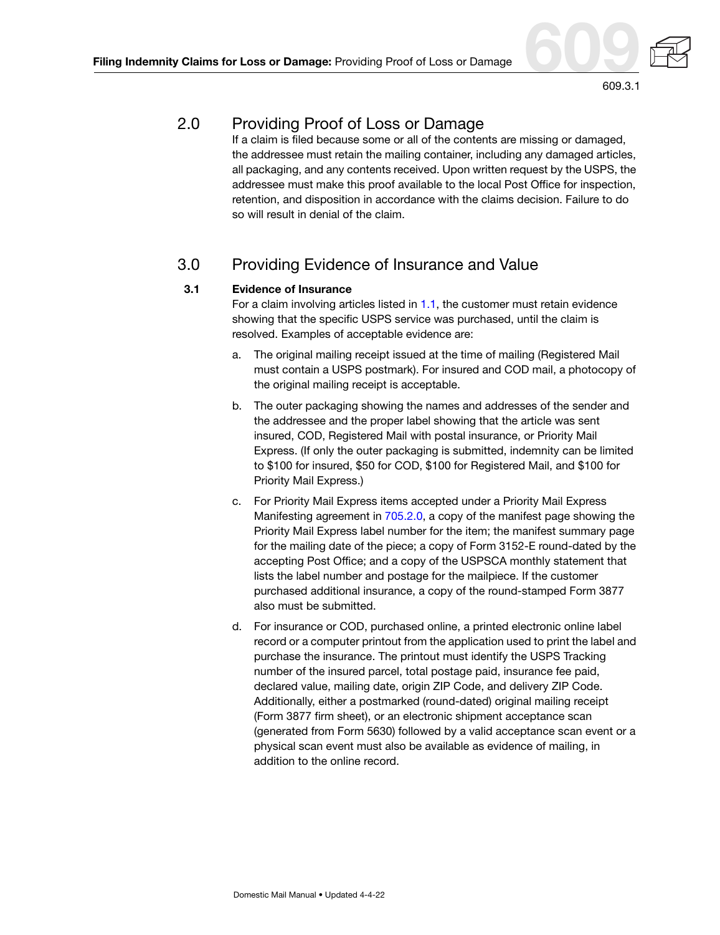

# <span id="page-2-0"></span>2.0 Providing Proof of Loss or Damage

If a claim is filed because some or all of the contents are missing or damaged, the addressee must retain the mailing container, including any damaged articles, all packaging, and any contents received. Upon written request by the USPS, the addressee must make this proof available to the local Post Office for inspection, retention, and disposition in accordance with the claims decision. Failure to do so will result in denial of the claim.

# <span id="page-2-1"></span>3.0 Providing Evidence of Insurance and Value

### **3.1 Evidence of Insurance**

For a claim involving articles listed in [1.1,](#page-0-1) the customer must retain evidence showing that the specific USPS service was purchased, until the claim is resolved. Examples of acceptable evidence are:

- a. The original mailing receipt issued at the time of mailing (Registered Mail must contain a USPS postmark). For insured and COD mail, a photocopy of the original mailing receipt is acceptable.
- b. The outer packaging showing the names and addresses of the sender and the addressee and the proper label showing that the article was sent insured, COD, Registered Mail with postal insurance, or Priority Mail Express. (If only the outer packaging is submitted, indemnity can be limited to \$100 for insured, \$50 for COD, \$100 for Registered Mail, and \$100 for Priority Mail Express.)
- c. For Priority Mail Express items accepted under a Priority Mail Express Manifesting agreement in 705.2.0, a copy of the manifest page showing the Priority Mail Express label number for the item; the manifest summary page for the mailing date of the piece; a copy of Form 3152-E round-dated by the accepting Post Office; and a copy of the USPSCA monthly statement that lists the label number and postage for the mailpiece. If the customer purchased additional insurance, a copy of the round-stamped Form 3877 also must be submitted.
- <span id="page-2-2"></span>d. For insurance or COD, purchased online, a printed electronic online label record or a computer printout from the application used to print the label and purchase the insurance. The printout must identify the USPS Tracking number of the insured parcel, total postage paid, insurance fee paid, declared value, mailing date, origin ZIP Code, and delivery ZIP Code. Additionally, either a postmarked (round-dated) original mailing receipt (Form 3877 firm sheet), or an electronic shipment acceptance scan (generated from Form 5630) followed by a valid acceptance scan event or a physical scan event must also be available as evidence of mailing, in addition to the online record.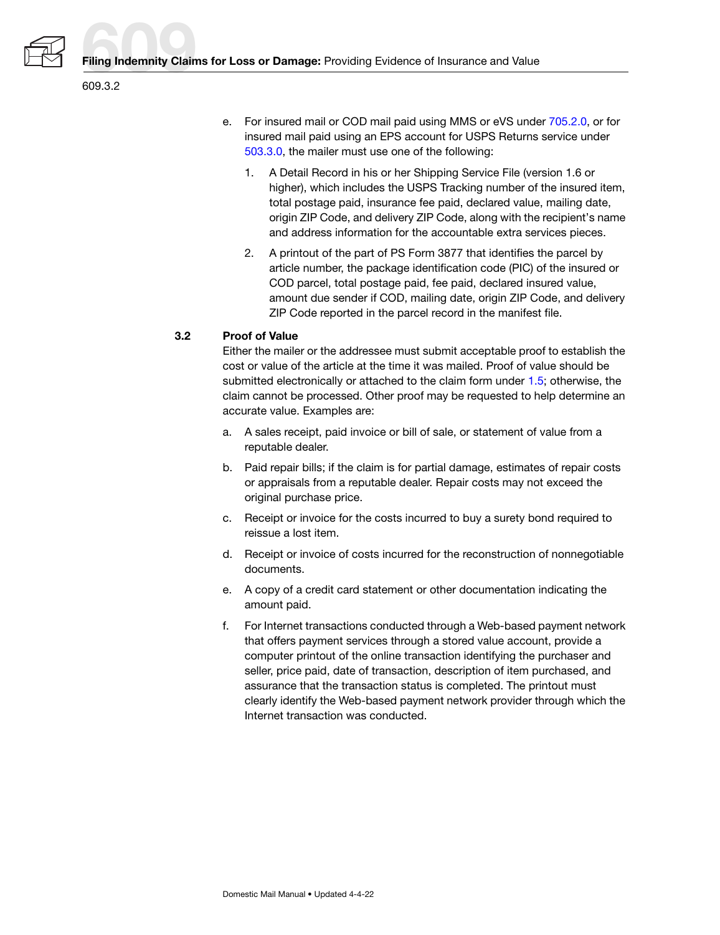

- e. For insured mail or COD mail paid using MMS or eVS under 705.2.0, or for insured mail paid using an EPS account for USPS Returns service under 503.3.0, the mailer must use one of the following:
	- 1. A Detail Record in his or her Shipping Service File (version 1.6 or higher), which includes the USPS Tracking number of the insured item, total postage paid, insurance fee paid, declared value, mailing date, origin ZIP Code, and delivery ZIP Code, along with the recipient's name and address information for the accountable extra services pieces.
	- 2. A printout of the part of PS Form 3877 that identifies the parcel by article number, the package identification code (PIC) of the insured or COD parcel, total postage paid, fee paid, declared insured value, amount due sender if COD, mailing date, origin ZIP Code, and delivery ZIP Code reported in the parcel record in the manifest file.

#### <span id="page-3-0"></span>**3.2 Proof of Value**

Either the mailer or the addressee must submit acceptable proof to establish the cost or value of the article at the time it was mailed. Proof of value should be submitted electronically or attached to the claim form under [1.5;](#page-1-0) otherwise, the claim cannot be processed. Other proof may be requested to help determine an accurate value. Examples are:

- a. A sales receipt, paid invoice or bill of sale, or statement of value from a reputable dealer.
- b. Paid repair bills; if the claim is for partial damage, estimates of repair costs or appraisals from a reputable dealer. Repair costs may not exceed the original purchase price.
- c. Receipt or invoice for the costs incurred to buy a surety bond required to reissue a lost item.
- d. Receipt or invoice of costs incurred for the reconstruction of nonnegotiable documents.
- e. A copy of a credit card statement or other documentation indicating the amount paid.
- f. For Internet transactions conducted through a Web-based payment network that offers payment services through a stored value account, provide a computer printout of the online transaction identifying the purchaser and seller, price paid, date of transaction, description of item purchased, and assurance that the transaction status is completed. The printout must clearly identify the Web-based payment network provider through which the Internet transaction was conducted.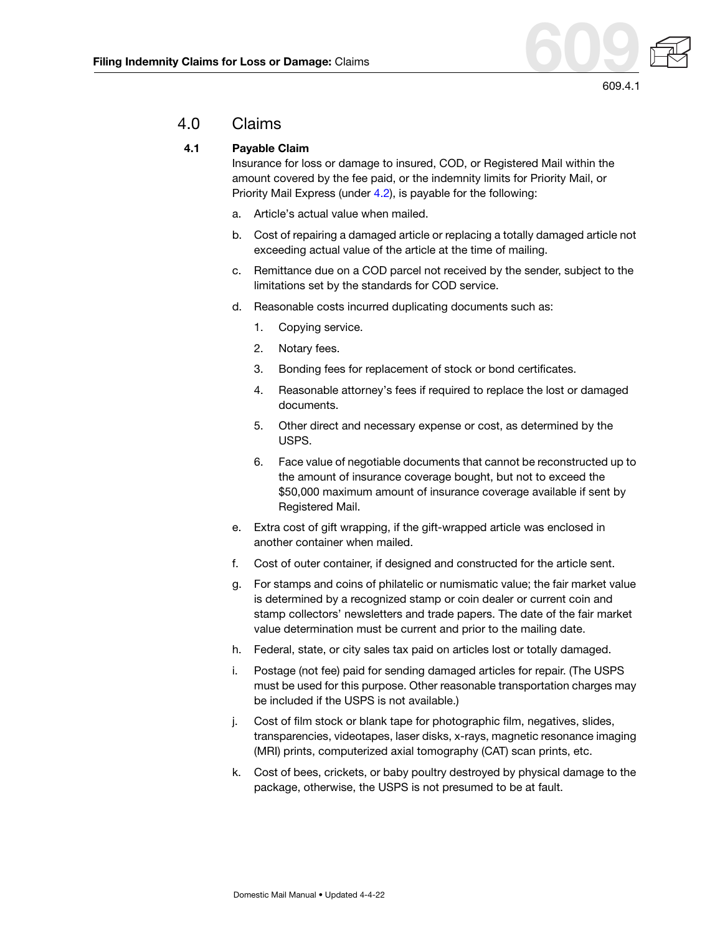

## <span id="page-4-1"></span><span id="page-4-0"></span>4.0 Claims

#### **4.1 Payable Claim**

Insurance for loss or damage to insured, COD, or Registered Mail within the amount covered by the fee paid, or the indemnity limits for Priority Mail, or Priority Mail Express (under [4.2\)](#page-5-0), is payable for the following:

- a. Article's actual value when mailed.
- b. Cost of repairing a damaged article or replacing a totally damaged article not exceeding actual value of the article at the time of mailing.
- c. Remittance due on a COD parcel not received by the sender, subject to the limitations set by the standards for COD service.
- d. Reasonable costs incurred duplicating documents such as:
	- 1. Copying service.
	- 2. Notary fees.
	- 3. Bonding fees for replacement of stock or bond certificates.
	- 4. Reasonable attorney's fees if required to replace the lost or damaged documents.
	- 5. Other direct and necessary expense or cost, as determined by the USPS.
	- 6. Face value of negotiable documents that cannot be reconstructed up to the amount of insurance coverage bought, but not to exceed the \$50,000 maximum amount of insurance coverage available if sent by Registered Mail.
- e. Extra cost of gift wrapping, if the gift-wrapped article was enclosed in another container when mailed.
- f. Cost of outer container, if designed and constructed for the article sent.
- g. For stamps and coins of philatelic or numismatic value; the fair market value is determined by a recognized stamp or coin dealer or current coin and stamp collectors' newsletters and trade papers. The date of the fair market value determination must be current and prior to the mailing date.
- h. Federal, state, or city sales tax paid on articles lost or totally damaged.
- i. Postage (not fee) paid for sending damaged articles for repair. (The USPS must be used for this purpose. Other reasonable transportation charges may be included if the USPS is not available.)
- j. Cost of film stock or blank tape for photographic film, negatives, slides, transparencies, videotapes, laser disks, x-rays, magnetic resonance imaging (MRI) prints, computerized axial tomography (CAT) scan prints, etc.
- k. Cost of bees, crickets, or baby poultry destroyed by physical damage to the package, otherwise, the USPS is not presumed to be at fault.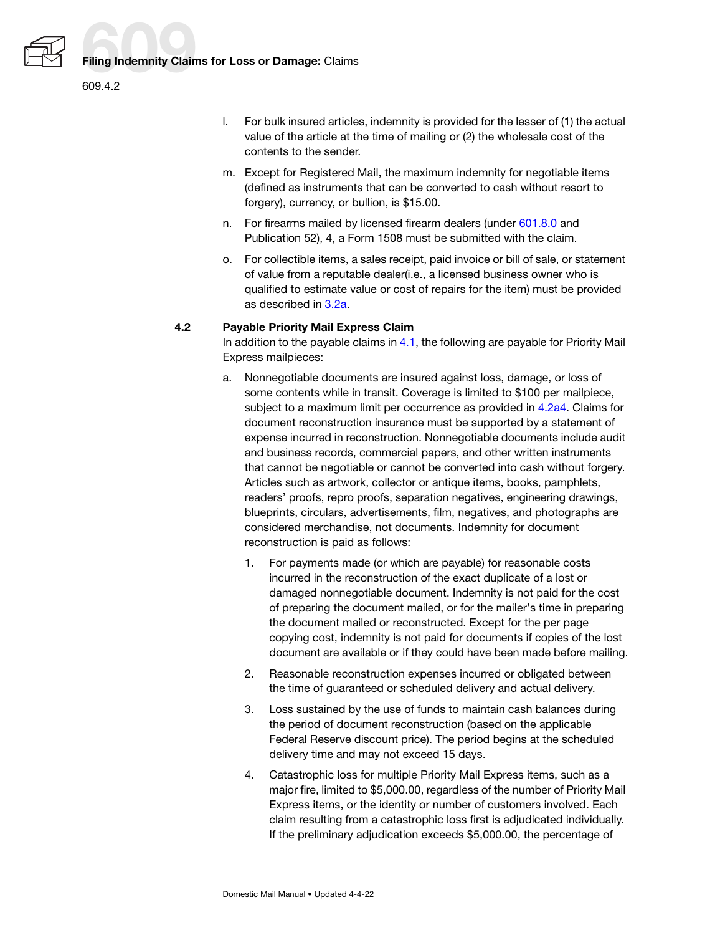

- l. For bulk insured articles, indemnity is provided for the lesser of (1) the actual value of the article at the time of mailing or (2) the wholesale cost of the contents to the sender.
- m. Except for Registered Mail, the maximum indemnity for negotiable items (defined as instruments that can be converted to cash without resort to forgery), currency, or bullion, is \$15.00.
- n. For firearms mailed by licensed firearm dealers (under 601.8.0 and Publication 52), 4, a Form 1508 must be submitted with the claim.
- o. For collectible items, a sales receipt, paid invoice or bill of sale, or statement of value from a reputable dealer(i.e., a licensed business owner who is qualified to estimate value or cost of repairs for the item) must be provided as described in [3.2a.](#page-3-0)

#### <span id="page-5-0"></span>**4.2 Payable Priority Mail Express Claim**

In addition to the payable claims in  $4.1$ , the following are payable for Priority Mail Express mailpieces:

- <span id="page-5-3"></span><span id="page-5-2"></span><span id="page-5-1"></span>a. Nonnegotiable documents are insured against loss, damage, or loss of some contents while in transit. Coverage is limited to \$100 per mailpiece, subject to a maximum limit per occurrence as provided in [4.2a4.](#page-5-1) Claims for document reconstruction insurance must be supported by a statement of expense incurred in reconstruction. Nonnegotiable documents include audit and business records, commercial papers, and other written instruments that cannot be negotiable or cannot be converted into cash without forgery. Articles such as artwork, collector or antique items, books, pamphlets, readers' proofs, repro proofs, separation negatives, engineering drawings, blueprints, circulars, advertisements, film, negatives, and photographs are considered merchandise, not documents. Indemnity for document reconstruction is paid as follows:
	- 1. For payments made (or which are payable) for reasonable costs incurred in the reconstruction of the exact duplicate of a lost or damaged nonnegotiable document. Indemnity is not paid for the cost of preparing the document mailed, or for the mailer's time in preparing the document mailed or reconstructed. Except for the per page copying cost, indemnity is not paid for documents if copies of the lost document are available or if they could have been made before mailing.
	- 2. Reasonable reconstruction expenses incurred or obligated between the time of guaranteed or scheduled delivery and actual delivery.
	- 3. Loss sustained by the use of funds to maintain cash balances during the period of document reconstruction (based on the applicable Federal Reserve discount price). The period begins at the scheduled delivery time and may not exceed 15 days.
	- 4. Catastrophic loss for multiple Priority Mail Express items, such as a major fire, limited to \$5,000.00, regardless of the number of Priority Mail Express items, or the identity or number of customers involved. Each claim resulting from a catastrophic loss first is adjudicated individually. If the preliminary adjudication exceeds \$5,000.00, the percentage of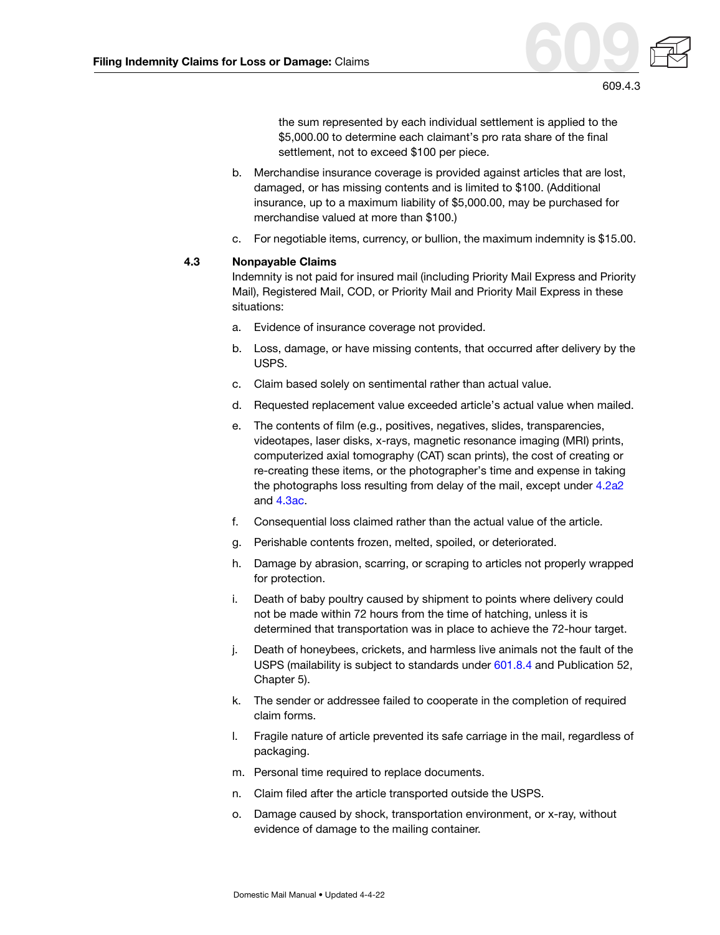

the sum represented by each individual settlement is applied to the \$5,000.00 to determine each claimant's pro rata share of the final settlement, not to exceed \$100 per piece.

- b. Merchandise insurance coverage is provided against articles that are lost, damaged, or has missing contents and is limited to \$100. (Additional insurance, up to a maximum liability of \$5,000.00, may be purchased for merchandise valued at more than \$100.)
- c. For negotiable items, currency, or bullion, the maximum indemnity is \$15.00.

#### **4.3 Nonpayable Claims**

Indemnity is not paid for insured mail (including Priority Mail Express and Priority Mail), Registered Mail, COD, or Priority Mail and Priority Mail Express in these situations:

- a. Evidence of insurance coverage not provided.
- b. Loss, damage, or have missing contents, that occurred after delivery by the USPS.
- c. Claim based solely on sentimental rather than actual value.
- d. Requested replacement value exceeded article's actual value when mailed.
- e. The contents of film (e.g., positives, negatives, slides, transparencies, videotapes, laser disks, x-rays, magnetic resonance imaging (MRI) prints, computerized axial tomography (CAT) scan prints), the cost of creating or re-creating these items, or the photographer's time and expense in taking the photographs loss resulting from delay of the mail, except under [4.2a2](#page-5-2) and [4.3ac.](#page-7-0)
- f. Consequential loss claimed rather than the actual value of the article.
- g. Perishable contents frozen, melted, spoiled, or deteriorated.
- h. Damage by abrasion, scarring, or scraping to articles not properly wrapped for protection.
- i. Death of baby poultry caused by shipment to points where delivery could not be made within 72 hours from the time of hatching, unless it is determined that transportation was in place to achieve the 72-hour target.
- j. Death of honeybees, crickets, and harmless live animals not the fault of the USPS (mailability is subject to standards under 601.8.4 and Publication 52, Chapter 5).
- k. The sender or addressee failed to cooperate in the completion of required claim forms.
- l. Fragile nature of article prevented its safe carriage in the mail, regardless of packaging.
- m. Personal time required to replace documents.
- n. Claim filed after the article transported outside the USPS.
- o. Damage caused by shock, transportation environment, or x-ray, without evidence of damage to the mailing container.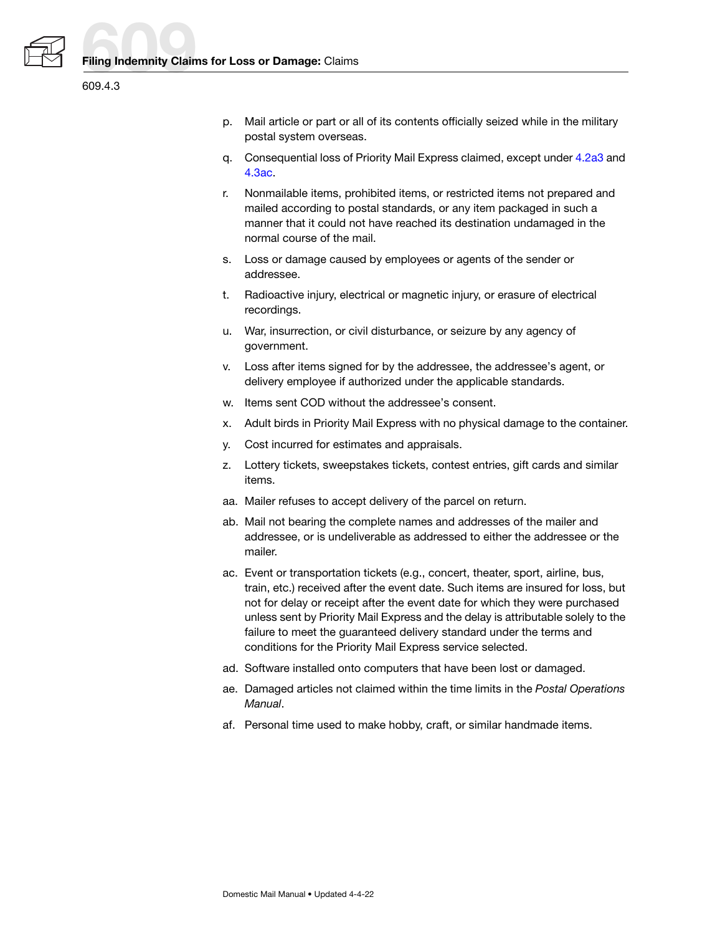



- p. Mail article or part or all of its contents officially seized while in the military postal system overseas.
- q. Consequential loss of Priority Mail Express claimed, except under [4.2a3](#page-5-3) and [4.3ac](#page-7-0).
- r. Nonmailable items, prohibited items, or restricted items not prepared and mailed according to postal standards, or any item packaged in such a manner that it could not have reached its destination undamaged in the normal course of the mail.
- s. Loss or damage caused by employees or agents of the sender or addressee.
- t. Radioactive injury, electrical or magnetic injury, or erasure of electrical recordings.
- u. War, insurrection, or civil disturbance, or seizure by any agency of government.
- v. Loss after items signed for by the addressee, the addressee's agent, or delivery employee if authorized under the applicable standards.
- w. Items sent COD without the addressee's consent.
- x. Adult birds in Priority Mail Express with no physical damage to the container.
- y. Cost incurred for estimates and appraisals.
- z. Lottery tickets, sweepstakes tickets, contest entries, gift cards and similar items.
- aa. Mailer refuses to accept delivery of the parcel on return.
- ab. Mail not bearing the complete names and addresses of the mailer and addressee, or is undeliverable as addressed to either the addressee or the mailer.
- <span id="page-7-0"></span>ac. Event or transportation tickets (e.g., concert, theater, sport, airline, bus, train, etc.) received after the event date. Such items are insured for loss, but not for delay or receipt after the event date for which they were purchased unless sent by Priority Mail Express and the delay is attributable solely to the failure to meet the guaranteed delivery standard under the terms and conditions for the Priority Mail Express service selected.
- ad. Software installed onto computers that have been lost or damaged.
- ae. Damaged articles not claimed within the time limits in the Postal Operations Manual.
- af. Personal time used to make hobby, craft, or similar handmade items.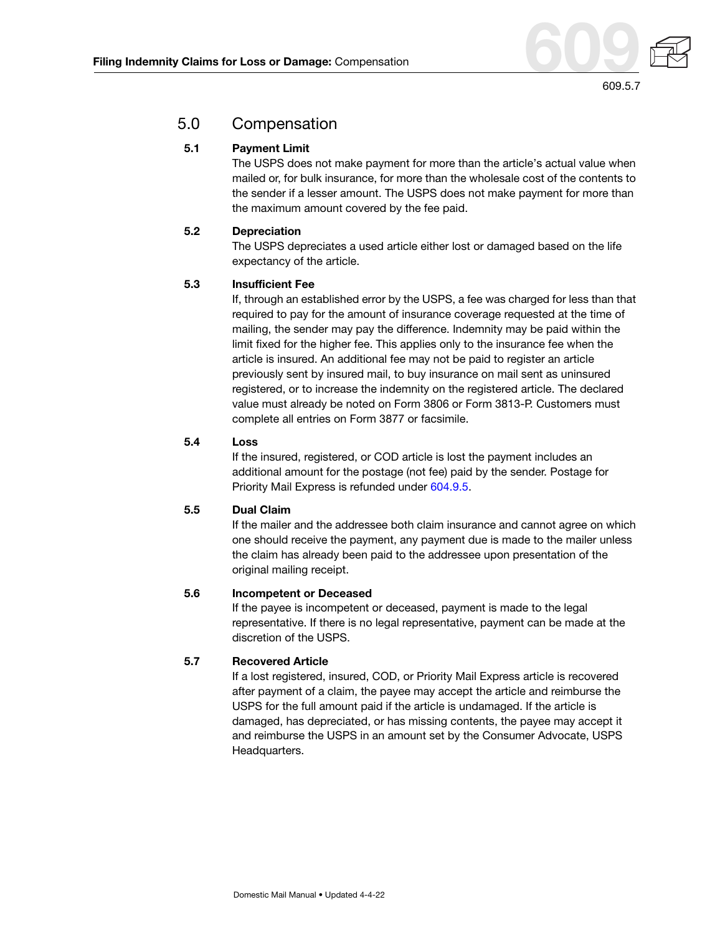

# <span id="page-8-0"></span>5.0 Compensation

#### **5.1 Payment Limit**

The USPS does not make payment for more than the article's actual value when mailed or, for bulk insurance, for more than the wholesale cost of the contents to the sender if a lesser amount. The USPS does not make payment for more than the maximum amount covered by the fee paid.

#### **5.2 Depreciation**

The USPS depreciates a used article either lost or damaged based on the life expectancy of the article.

#### **5.3 Insufficient Fee**

If, through an established error by the USPS, a fee was charged for less than that required to pay for the amount of insurance coverage requested at the time of mailing, the sender may pay the difference. Indemnity may be paid within the limit fixed for the higher fee. This applies only to the insurance fee when the article is insured. An additional fee may not be paid to register an article previously sent by insured mail, to buy insurance on mail sent as uninsured registered, or to increase the indemnity on the registered article. The declared value must already be noted on Form 3806 or Form 3813-P. Customers must complete all entries on Form 3877 or facsimile.

#### **5.4 Loss**

If the insured, registered, or COD article is lost the payment includes an additional amount for the postage (not fee) paid by the sender. Postage for Priority Mail Express is refunded under 604.9.5.

#### **5.5 Dual Claim**

If the mailer and the addressee both claim insurance and cannot agree on which one should receive the payment, any payment due is made to the mailer unless the claim has already been paid to the addressee upon presentation of the original mailing receipt.

#### **5.6 Incompetent or Deceased**

If the payee is incompetent or deceased, payment is made to the legal representative. If there is no legal representative, payment can be made at the discretion of the USPS.

### **5.7 Recovered Article**

If a lost registered, insured, COD, or Priority Mail Express article is recovered after payment of a claim, the payee may accept the article and reimburse the USPS for the full amount paid if the article is undamaged. If the article is damaged, has depreciated, or has missing contents, the payee may accept it and reimburse the USPS in an amount set by the Consumer Advocate, USPS Headquarters.